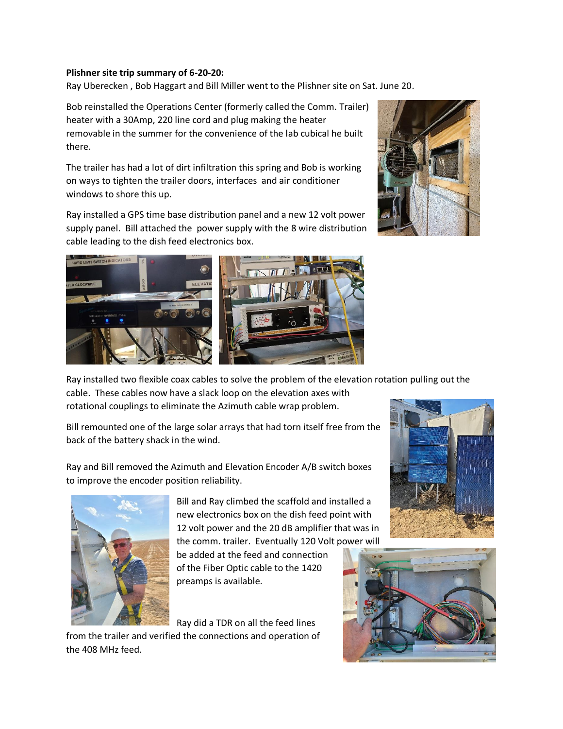## **Plishner site trip summary of 6-20-20:**

Ray Uberecken , Bob Haggart and Bill Miller went to the Plishner site on Sat. June 20.

Bob reinstalled the Operations Center (formerly called the Comm. Trailer) heater with a 30Amp, 220 line cord and plug making the heater removable in the summer for the convenience of the lab cubical he built there.

The trailer has had a lot of dirt infiltration this spring and Bob is working on ways to tighten the trailer doors, interfaces and air conditioner windows to shore this up.

Ray installed a GPS time base distribution panel and a new 12 volt power supply panel. Bill attached the power supply with the 8 wire distribution cable leading to the dish feed electronics box.





Ray installed two flexible coax cables to solve the problem of the elevation rotation pulling out the

cable. These cables now have a slack loop on the elevation axes with rotational couplings to eliminate the Azimuth cable wrap problem.

Bill remounted one of the large solar arrays that had torn itself free from the back of the battery shack in the wind.

Ray and Bill removed the Azimuth and Elevation Encoder A/B switch boxes to improve the encoder position reliability.



Bill and Ray climbed the scaffold and installed a new electronics box on the dish feed point with 12 volt power and the 20 dB amplifier that was in the comm. trailer. Eventually 120 Volt power will

be added at the feed and connection of the Fiber Optic cable to the 1420 preamps is available.

Ray did a TDR on all the feed lines

from the trailer and verified the connections and operation of the 408 MHz feed.